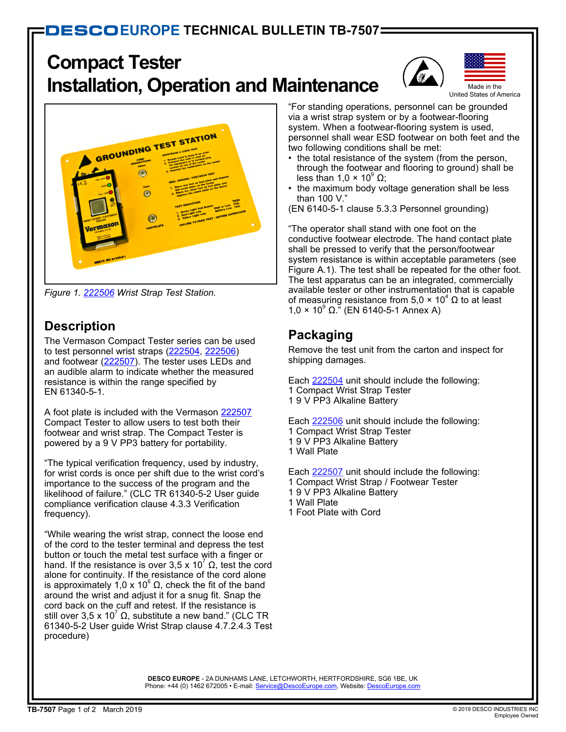# **Compact Tester Installation, Operation and Maintenance**





*Figure 1. [222506](http://www.descoeurope.com/Search/222506/) Wrist Strap Test Station.*

# **Description**

The Vermason Compact Tester series can be used to test personnel wrist straps ([222504](http://www.descoeurope.com/Search/222504/), [222506](http://www.descoeurope.com/Search/222506/)) and footwear [\(222507\)](http://www.descoeurope.com/Search/222507/). The tester uses LEDs and an audible alarm to indicate whether the measured resistance is within the range specified by EN 61340-5-1.

A foot plate is included with the Vermason [222507](http://www.descoeurope.com/Search/222507/) Compact Tester to allow users to test both their footwear and wrist strap. The Compact Tester is powered by a 9 V PP3 battery for portability.

"The typical verification frequency, used by industry, for wrist cords is once per shift due to the wrist cord's importance to the success of the program and the likelihood of failure." (CLC TR 61340-5-2 User guide compliance verification clause 4.3.3 Verification frequency).

"While wearing the wrist strap, connect the loose end of the cord to the tester terminal and depress the test button or touch the metal test surface with a finger or hand. If the resistance is over 3,5 x 10<sup>7</sup> Ω, test the cord alone for continuity. If the resistance of the cord alone is approximately 1,0 x 10<sup>6</sup> Ω, check the fit of the band around the wrist and adjust it for a snug fit. Snap the cord back on the cuff and retest. If the resistance is still over 3,5 x 10 $^7$  Ω, substitute a new band." (CLC TR 61340-5-2 User guide Wrist Strap clause 4.7.2.4.3 Test procedure)

"For standing operations, personnel can be grounded via a wrist strap system or by a footwear-flooring system. When a footwear-flooring system is used, personnel shall wear ESD footwear on both feet and the two following conditions shall be met:

- the total resistance of the system (from the person, through the footwear and flooring to ground) shall be less than 1,0 × 10 $^{\circ}$  Ω;
- the maximum body voltage generation shall be less than 100 V."
- (EN 6140-5-1 clause 5.3.3 Personnel grounding)

"The operator shall stand with one foot on the conductive footwear electrode. The hand contact plate shall be pressed to verify that the person/footwear system resistance is within acceptable parameters (see Figure A.1). The test shall be repeated for the other foot. The test apparatus can be an integrated, commercially available tester or other instrumentation that is capable of measuring resistance from 5,0 × 10 $^4$  Ω to at least  $1,0 \times 10^9$  Ω." (EN 6140-5-1 Annex A)

# **Packaging**

Remove the test unit from the carton and inspect for shipping damages.

Each [222504](http://www.descoeurope.com/Search/222504/) unit should include the following: 1 Compact Wrist Strap Tester 1 9 V PP3 Alkaline Battery

Each [222506](http://www.descoeurope.com/Search/222506/) unit should include the following: 1 Compact Wrist Strap Tester 1 9 V PP3 Alkaline Battery 1 Wall Plate

Each [222507](http://www.descoeurope.com/Search/222507/) unit should include the following: 1 Compact Wrist Strap / Footwear Tester 1 9 V PP3 Alkaline Battery 1 Wall Plate 1 Foot Plate with Cord

**DESCO EUROPE** - 2A DUNHAMS LANE, LETCHWORTH, HERTFORDSHIRE, SG6 1BE, UK Phone: +44 (0) 1462 672005 • E-mail: [Service@DescoEurope.com](mailto:Service%40DescoEurope.com?subject=), Website: [DescoEurope.com](http://www.descoeurope.com/)